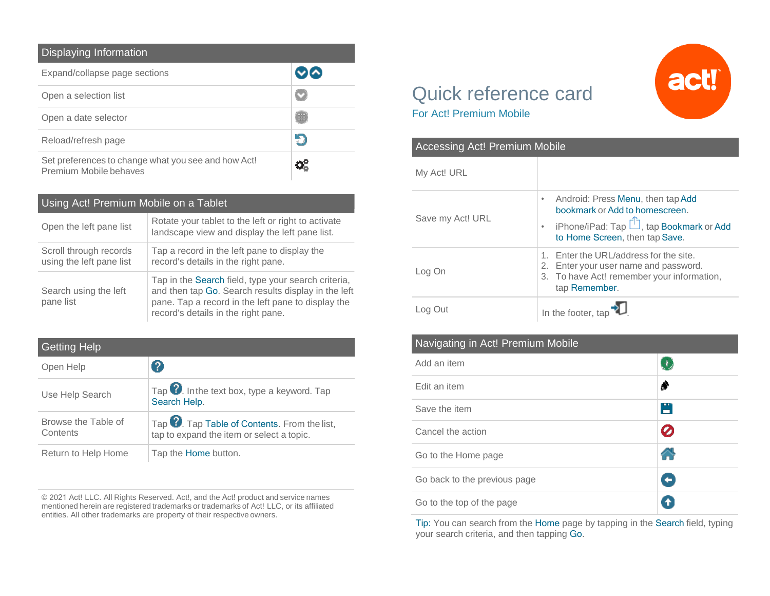| Displaying Information                                                        |   |  |
|-------------------------------------------------------------------------------|---|--|
| Expand/collapse page sections                                                 |   |  |
| Open a selection list                                                         |   |  |
| Open a date selector                                                          | Œ |  |
| Reload/refresh page                                                           |   |  |
| Set preferences to change what you see and how Act!<br>Premium Mobile behaves |   |  |

## Using Act! Premium Mobile on a Tablet

| Open the left pane list                            | Rotate your tablet to the left or right to activate<br>landscape view and display the left pane list.                                                                                                   |
|----------------------------------------------------|---------------------------------------------------------------------------------------------------------------------------------------------------------------------------------------------------------|
| Scroll through records<br>using the left pane list | Tap a record in the left pane to display the<br>record's details in the right pane.                                                                                                                     |
| Search using the left<br>pane list                 | Tap in the Search field, type your search criteria,<br>and then tap Go. Search results display in the left<br>pane. Tap a record in the left pane to display the<br>record's details in the right pane. |

| <b>Getting Help</b>             |                                                                                                       |
|---------------------------------|-------------------------------------------------------------------------------------------------------|
| Open Help                       | 2                                                                                                     |
| Use Help Search                 | Tap $\bullet$ . In the text box, type a keyword. Tap<br>Search Help.                                  |
| Browse the Table of<br>Contents | Tap <sup>2</sup> . Tap Table of Contents. From the list,<br>tap to expand the item or select a topic. |
| Return to Help Home             | Tap the Home button.                                                                                  |

© 2021 Act! LLC. All Rights Reserved. Act!, and the Act! product and service names mentioned herein are registered trademarks or trademarks of Act! LLC, or its affiliated entities. All other trademarks are property of their respective owners.

## Quick reference card For Act! Premium Mobile

| <b>Accessing Act! Premium Mobile</b> |                                                                                                                                                                             |  |
|--------------------------------------|-----------------------------------------------------------------------------------------------------------------------------------------------------------------------------|--|
| My Act! URL                          |                                                                                                                                                                             |  |
| Save my Act! URL                     | Android: Press Menu, then tap Add<br>$\bullet$<br>bookmark or Add to homescreen.<br>• iPhone/iPad: Tap $\hat{\Box}$ , tap Bookmark or Add<br>to Home Screen, then tap Save. |  |
| Log On                               | Enter the URL/address for the site.<br>Enter your user name and password.<br>2.<br>3. To have Act! remember your information,<br>tap Remember.                              |  |
|                                      | In the footer, tap                                                                                                                                                          |  |

## Navigating in Act! Premium Mobile

| Add an item                  |   |
|------------------------------|---|
| Edit an item                 |   |
| Save the item                | H |
| Cancel the action            | Ø |
| Go to the Home page          |   |
| Go back to the previous page | Ŧ |
| Go to the top of the page    | ÷ |

Tip: You can search from the Home page by tapping in the Search field, typing your search criteria, and then tapping Go.